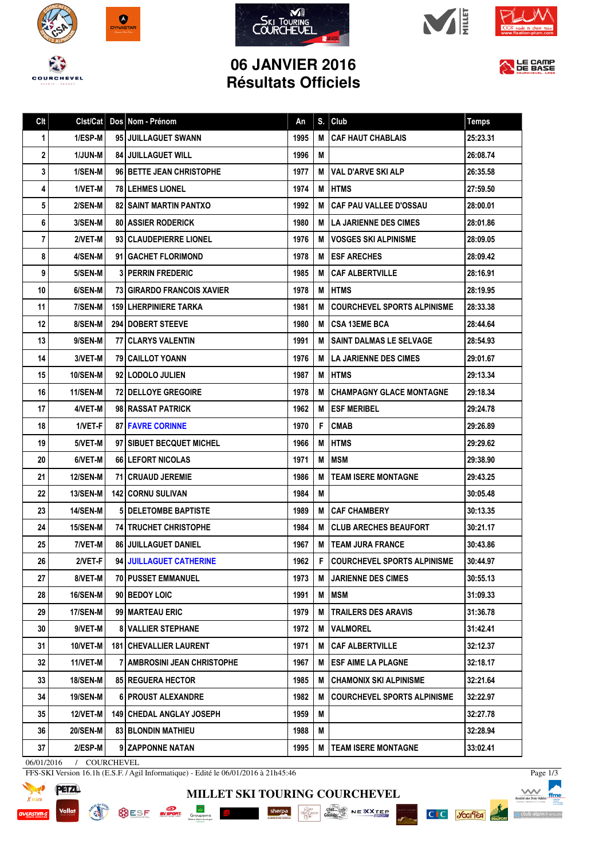









## **06 JANVIER 2016 Résultats Officiels**



| Clt | Clst/Cat        | Dos Nom - Prénom                  | An   | S. | Club                                 | <b>Temps</b> |
|-----|-----------------|-----------------------------------|------|----|--------------------------------------|--------------|
| 1   | 1/ESP-M         | 95 JUILLAGUET SWANN               | 1995 | М  | <b>CAF HAUT CHABLAIS</b>             | 25:23.31     |
| 2   | <b>1/JUN-M</b>  | <b>84 JUILLAGUET WILL</b>         | 1996 | M  |                                      | 26:08.74     |
| 3   | 1/SEN-M         | 96 BETTE JEAN CHRISTOPHE          | 1977 | М  | <b>VAL D'ARVE SKI ALP</b>            | 26:35.58     |
| 4   | 1/VET-M         | <b>78 I LEHMES LIONEL</b>         | 1974 | М  | <b>IHTMS</b>                         | 27:59.50     |
| 5   | 2/SEN-M         | <b>82 I SAINT MARTIN PANTXO</b>   | 1992 | М  | <b>CAF PAU VALLEE D'OSSAU</b>        | 28:00.01     |
| 6   | 3/SEN-M         | <b>80   ASSIER RODERICK</b>       | 1980 | M  | I LA JARIENNE DES CIMES              | 28:01.86     |
| 7   | 2/VET-M         | 93 CLAUDEPIERRE LIONEL            | 1976 | М  | <b>VOSGES SKI ALPINISME</b>          | 28:09.05     |
| 8   | 4/SEN-M         | 91 GACHET FLORIMOND               | 1978 | м  | <b>IESF ARECHES</b>                  | 28:09.42     |
| 9   | 5/SEN-M         | <b>3 PERRIN FREDERIC</b>          | 1985 | М  | l CAF ALBERTVILLE                    | 28:16.91     |
| 10  | 6/SEN-M         | 73 GIRARDO FRANCOIS XAVIER        | 1978 | M  | <b>IHTMS</b>                         | 28:19.95     |
| 11  | 7/SEN-M         | <b>159 LHERPINIERE TARKA</b>      | 1981 | М  | <b>COURCHEVEL SPORTS ALPINISME</b>   | 28:33.38     |
| 12  | 8/SEN-M         | <b>294 DOBERT STEEVE</b>          | 1980 | M  | <b>ICSA 13EME BCA</b>                | 28:44.64     |
| 13  | 9/SEN-M         | <b>77   CLARYS VALENTIN</b>       | 1991 | М  | <b>SAINT DALMAS LE SELVAGE</b>       | 28:54.93     |
| 14  | 3/VET-M         | <b>79 CAILLOT YOANN</b>           | 1976 | M  | LA JARIENNE DES CIMES                | 29:01.67     |
| 15  | 10/SEN-M        | 92   LODOLO JULIEN                | 1987 | M  | <b>IHTMS</b>                         | 29:13.34     |
| 16  | 11/SEN-M        | <b>72 DELLOYE GREGOIRE</b>        | 1978 | м  | <b>CHAMPAGNY GLACE MONTAGNE</b>      | 29:18.34     |
| 17  | 4/VET-M         | 98 RASSAT PATRICK                 | 1962 | М  | <b>ESF MERIBEL</b>                   | 29:24.78     |
| 18  | 1/VET-F         | <b>87 FAVRE CORINNE</b>           | 1970 | F. | <b>CMAB</b>                          | 29:26.89     |
| 19  | 5/VET-M         | 97   SIBUET BECQUET MICHEL        | 1966 | M  | <b>IHTMS</b>                         | 29:29.62     |
| 20  | 6/VET-M         | <b>66 LEFORT NICOLAS</b>          | 1971 | М  | <b>IMSM</b>                          | 29:38.90     |
| 21  | <b>12/SEN-M</b> | <b>71   CRUAUD JEREMIE</b>        | 1986 | M  | <b>TEAM ISERE MONTAGNE</b>           | 29:43.25     |
| 22  | <b>13/SEN-M</b> | <b>142 CORNU SULIVAN</b>          | 1984 | M  |                                      | 30:05.48     |
| 23  | <b>14/SEN-M</b> | <b>5 IDELETOMBE BAPTISTE</b>      | 1989 | м  | <b>CAF CHAMBERY</b>                  | 30:13.35     |
| 24  | <b>15/SEN-M</b> | <b>74 I TRUCHET CHRISTOPHE</b>    | 1984 | M  | <b>ICLUB ARECHES BEAUFORT</b>        | 30:21.17     |
| 25  | 7/VET-M         | <b>86 JUILLAGUET DANIEL</b>       | 1967 | M  | <b>ITEAM JURA FRANCE</b>             | 30:43.86     |
| 26  | 2/VET-FI        | 94 JUILLAGUET CATHERINE           | 1962 |    | <b>F COURCHEVEL SPORTS ALPINISME</b> | 30:44.97     |
| 27  | 8/VET-M         | <b>70 I PUSSET EMMANUEL</b>       | 1973 | M  | <b>JARIENNE DES CIMES</b>            | 30:55.13     |
| 28  | <b>16/SEN-M</b> | 90 BEDOY LOIC                     | 1991 | М  | <b>MSM</b>                           | 31:09.33     |
| 29  | 17/SEN-M        | 99   MARTEAU ERIC                 | 1979 | M  | <b>ITRAILERS DES ARAVIS</b>          | 31:36.78     |
| 30  | 9/VET-M         | <b>8 VALLIER STEPHANE</b>         | 1972 | М  | <b>VALMOREL</b>                      | 31:42.41     |
| 31  | 10/VET-M        | <b>181   CHEVALLIER LAURENT</b>   | 1971 | M  | <b>CAF ALBERTVILLE</b>               | 32:12.37     |
| 32  | 11/VET-M        | 7   AMBROSINI JEAN CHRISTOPHE     | 1967 | M  | ESF AIME LA PLAGNE                   | 32:18.17     |
| 33  | <b>18/SEN-M</b> | <b>85 REGUERA HECTOR</b>          | 1985 | M  | I CHAMONIX SKI ALPINISME             | 32:21.64     |
| 34  | <b>19/SEN-M</b> | 6   PROUST ALEXANDRE              | 1982 | M  | <b>COURCHEVEL SPORTS ALPINISME</b>   | 32:22.97     |
| 35  | 12/VET-M        | <b>149   CHEDAL ANGLAY JOSEPH</b> | 1959 | Μ  |                                      | 32:27.78     |
| 36  | <b>20/SEN-M</b> | <b>83 BLONDIN MATHIEU</b>         | 1988 | Μ  |                                      | 32:28.94     |
| 37  | 2/ESP-M         | 9 ZAPPONNE NATAN                  | 1995 | М  | <b>TEAM ISERE MONTAGNE</b>           | 33:02.41     |
|     |                 |                                   |      |    |                                      |              |

**MILLET SKI TOURING COURCHEVEL**

SESE NEWS GOURRES SHOPPING SHOPPING COMPANY NEWS NEWS

06/01/2016 / COURCHEVEL

FFS-SKI Version 16.1h (E.S.F. / Agil Informatique) - Edité le 06/01/2016 à 21h45:46



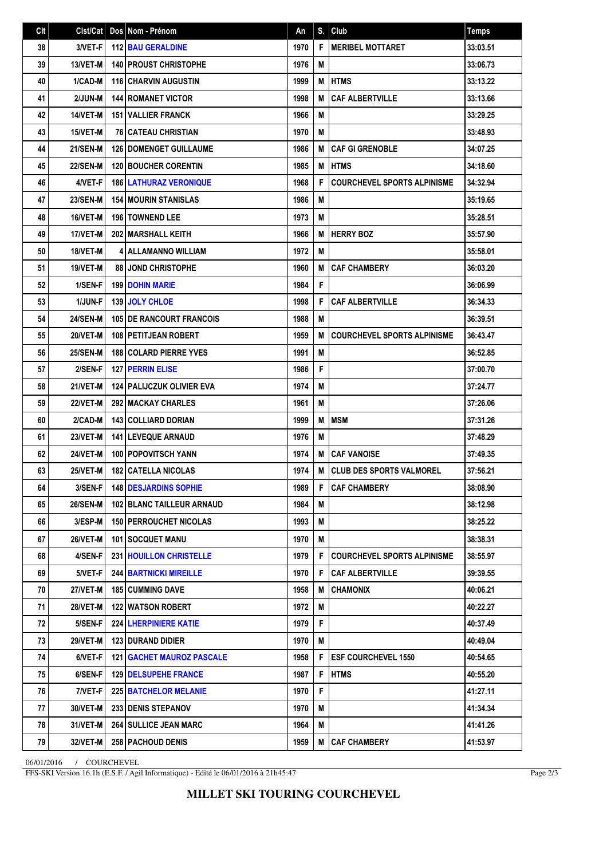| Clt | Clst/Cat        | Dos Nom - Prénom                   | An   | S. | Club                               | <b>Temps</b> |
|-----|-----------------|------------------------------------|------|----|------------------------------------|--------------|
| 38  | 3/VET-F         | <b>112 BAU GERALDINE</b>           | 1970 | F  | <b>MERIBEL MOTTARET</b>            | 33:03.51     |
| 39  | 13/VET-M        | <b>140   PROUST CHRISTOPHE</b>     | 1976 | M  |                                    | 33:06.73     |
| 40  | 1/CAD-M         | <b>116 CHARVIN AUGUSTIN</b>        | 1999 | M  | <b>HTMS</b>                        | 33:13.22     |
| 41  | 2/JUN-M         | <b>144 ROMANET VICTOR</b>          | 1998 | M  | <b>CAF ALBERTVILLE</b>             | 33:13.66     |
| 42  | 14/VET-M        | <b>151 VALLIER FRANCK</b>          | 1966 | M  |                                    | 33:29.25     |
| 43  | 15/VET-M        | <b>76 CATEAU CHRISTIAN</b>         | 1970 | M  |                                    | 33:48.93     |
| 44  | <b>21/SEN-M</b> | <b>126 I DOMENGET GUILLAUME</b>    | 1986 | M  | <b>CAF GI GRENOBLE</b>             | 34:07.25     |
| 45  | <b>22/SEN-M</b> | <b>120 BOUCHER CORENTIN</b>        | 1985 | M  | <b>HTMS</b>                        | 34:18.60     |
| 46  | 4/VET-F         | <b>186 LATHURAZ VERONIQUE</b>      | 1968 | F  | <b>COURCHEVEL SPORTS ALPINISME</b> | 34:32.94     |
| 47  | <b>23/SEN-M</b> | <b>154 MOURIN STANISLAS</b>        | 1986 | M  |                                    | 35:19.65     |
| 48  | 16/VET-M        | <b>196   TOWNEND LEE</b>           | 1973 | M  |                                    | 35:28.51     |
| 49  | 17/VET-M        | 202 MARSHALL KEITH                 | 1966 | M  | <b>HERRY BOZ</b>                   | 35:57.90     |
| 50  | 18/VET-M        | <b>4 ALLAMANNO WILLIAM</b>         | 1972 | M  |                                    | 35:58.01     |
| 51  | 19/VET-M        | 88 JOND CHRISTOPHE                 | 1960 | M  | <b>CAF CHAMBERY</b>                | 36:03.20     |
| 52  | 1/SEN-F         | <b>199 DOHIN MARIE</b>             | 1984 | F  |                                    | 36:06.99     |
| 53  | 1/JUN-F         | 139 JOLY CHLOE                     | 1998 | F  | <b>CAF ALBERTVILLE</b>             | 36:34.33     |
| 54  | <b>24/SEN-M</b> | <b>105 DE RANCOURT FRANCOIS</b>    | 1988 | M  |                                    | 36:39.51     |
| 55  | 20/VET-M        | 108 PETITJEAN ROBERT               | 1959 | M  | <b>COURCHEVEL SPORTS ALPINISME</b> | 36:43.47     |
| 56  | <b>25/SEN-M</b> | 188 COLARD PIERRE YVES             | 1991 | M  |                                    | 36:52.85     |
| 57  | 2/SEN-F         | <b>127 PERRIN ELISE</b>            | 1986 | F  |                                    | 37:00.70     |
| 58  | 21/VET-M        | <b>124   PALIJCZUK OLIVIER EVA</b> | 1974 | M  |                                    | 37:24.77     |
| 59  | <b>22/VET-M</b> | <b>292 MACKAY CHARLES</b>          | 1961 | M  |                                    | 37:26.06     |
| 60  | 2/CAD-M         | <b>143 COLLIARD DORIAN</b>         | 1999 | M  | <b>IMSM</b>                        | 37:31.26     |
| 61  | <b>23/VET-M</b> | <b>141   LEVEQUE ARNAUD</b>        | 1976 | M  |                                    | 37:48.29     |
| 62  | 24/VET-M        | <b>100 POPOVITSCH YANN</b>         | 1974 | M  | <b>CAF VANOISE</b>                 | 37:49.35     |
| 63  | 25/VET-M        | <b>182 CATELLA NICOLAS</b>         | 1974 | M  | CLUB DES SPORTS VALMOREL           | 37:56.21     |
| 64  | $3/SEN-F$       | <b>148 DESJARDINS SOPHIE</b>       | 1989 | F. | <b>CAF CHAMBERY</b>                | 38:08.90     |
| 65  | 26/SEN-M        | 102 BLANC TAILLEUR ARNAUD          | 1984 | М  |                                    | 38:12.98     |
| 66  | 3/ESP-M         | <b>150 PERROUCHET NICOLAS</b>      | 1993 | M  |                                    | 38:25.22     |
| 67  | 26/VET-M        | 101 SOCQUET MANU                   | 1970 | M  |                                    | 38:38.31     |
| 68  | 4/SEN-F         | 231   HOUILLON CHRISTELLE          | 1979 | F. | COURCHEVEL SPORTS ALPINISME        | 38:55.97     |
| 69  | 5/VET-F         | <b>244   BARTNICKI MIREILLE</b>    | 1970 | F  | <b>CAF ALBERTVILLE</b>             | 39:39.55     |
| 70  | <b>27/VET-M</b> | <b>185   CUMMING DAVE</b>          | 1958 | м  | <b>CHAMONIX</b>                    | 40:06.21     |
| 71  | 28/VET-M        | 122 WATSON ROBERT                  | 1972 | M  |                                    | 40:22.27     |
| 72  | 5/SEN-F         | <b>224 LHERPINIERE KATIE</b>       | 1979 | F  |                                    | 40:37.49     |
| 73  | 29/VET-M        | <b>123 DURAND DIDIER</b>           | 1970 | M  |                                    | 40:49.04     |
| 74  | 6/VET-F         | <b>121   GACHET MAUROZ PASCALE</b> | 1958 | F  | <b>IESF COURCHEVEL 1550</b>        | 40:54.65     |
| 75  | 6/SEN-F         | <b>129   DELSUPEHE FRANCE</b>      | 1987 | F  | <b>I HTMS</b>                      | 40:55.20     |
| 76  | 7/VET-F         | <b>225 BATCHELOR MELANIE</b>       | 1970 | F  |                                    | 41:27.11     |
| 77  | 30/VET-M        | <b>233 DENIS STEPANOV</b>          | 1970 | M  |                                    | 41:34.34     |
| 78  | 31/VET-M        | <b>264   SULLICE JEAN MARC</b>     | 1964 | M  |                                    | 41:41.26     |
| 79  | 32/VET-M        | 258 PACHOUD DENIS                  | 1959 | M  | <b>CAF CHAMBERY</b>                | 41:53.97     |

06/01/2016 / COURCHEVEL

FFS-SKI Version 16.1h (E.S.F. / Agil Informatique) - Edité le 06/01/2016 à 21h45:47

Page 2/3